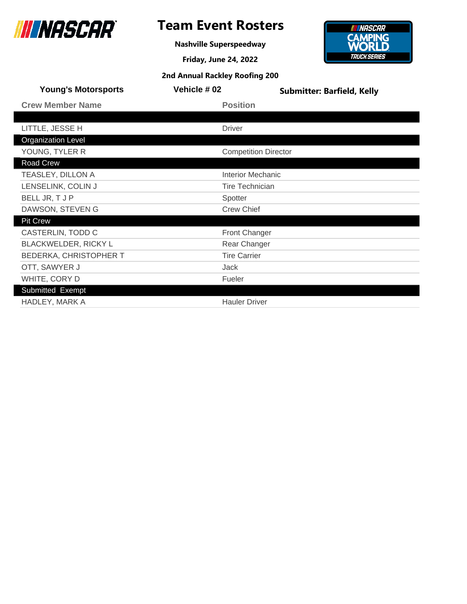

Submitted Exempt

### **Team Event Rosters**

**Nashville Superspeedway**

**Friday, June 24, 2022 2nd Annual Rackley Roofing 200**



| <b>Young's Motorsports</b>  | Vehicle # 02           | <b>Submitter: Barfield, Kelly</b> |
|-----------------------------|------------------------|-----------------------------------|
| <b>Crew Member Name</b>     | <b>Position</b>        |                                   |
|                             |                        |                                   |
| LITTLE, JESSE H             | <b>Driver</b>          |                                   |
| <b>Organization Level</b>   |                        |                                   |
| YOUNG, TYLER R              |                        | <b>Competition Director</b>       |
| <b>Road Crew</b>            |                        |                                   |
| TEASLEY, DILLON A           | Interior Mechanic      |                                   |
| LENSELINK, COLIN J          | <b>Tire Technician</b> |                                   |
| BELL JR, T J P              | Spotter                |                                   |
| DAWSON, STEVEN G            | <b>Crew Chief</b>      |                                   |
| <b>Pit Crew</b>             |                        |                                   |
| CASTERLIN, TODD C           | Front Changer          |                                   |
| <b>BLACKWELDER, RICKY L</b> | Rear Changer           |                                   |
| BEDERKA, CHRISTOPHER T      | <b>Tire Carrier</b>    |                                   |
| OTT, SAWYER J               | Jack                   |                                   |
| WHITE, CORY D               | Fueler                 |                                   |

HADLEY, MARK A **Hauler Driver Hauler Driver**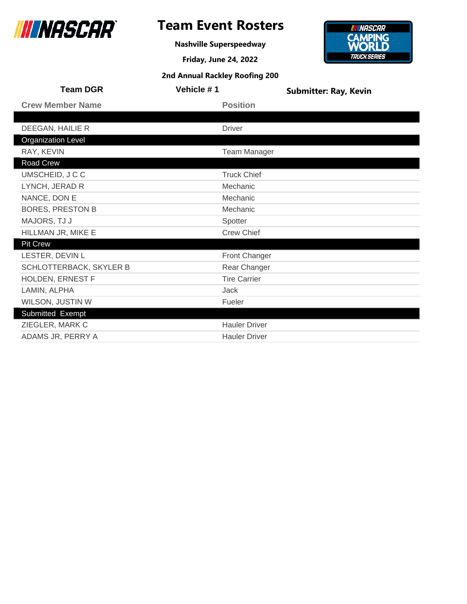

## **Team Event Rosters**

**Nashville Superspeedway**

**Friday, June 24, 2022**

# **CAMPING**<br>**WORLD TRUCK SERIES**

**INNASCAR** 

| <b>Team DGR</b>           | Vehicle #1 |                      | <b>Submitter: Ray, Kevin</b> |
|---------------------------|------------|----------------------|------------------------------|
| <b>Crew Member Name</b>   |            | <b>Position</b>      |                              |
|                           |            |                      |                              |
| DEEGAN, HAILIE R          |            | <b>Driver</b>        |                              |
| <b>Organization Level</b> |            |                      |                              |
| RAY, KEVIN                |            | <b>Team Manager</b>  |                              |
| Road Crew                 |            |                      |                              |
| UMSCHEID, J C C           |            | <b>Truck Chief</b>   |                              |
| LYNCH, JERAD R            |            | Mechanic             |                              |
| NANCE, DON E              |            | Mechanic             |                              |
| <b>BORES, PRESTON B</b>   |            | Mechanic             |                              |
| MAJORS, TJ J              |            | Spotter              |                              |
| HILLMAN JR, MIKE E        |            | <b>Crew Chief</b>    |                              |
| <b>Pit Crew</b>           |            |                      |                              |
| LESTER, DEVIN L           |            | Front Changer        |                              |
| SCHLOTTERBACK, SKYLER B   |            | Rear Changer         |                              |
| HOLDEN, ERNEST F          |            | <b>Tire Carrier</b>  |                              |
| LAMIN, ALPHA              |            | <b>Jack</b>          |                              |
| WILSON, JUSTIN W          |            | Fueler               |                              |
| Submitted Exempt          |            |                      |                              |
| ZIEGLER, MARK C           |            | <b>Hauler Driver</b> |                              |
| ADAMS JR, PERRY A         |            | <b>Hauler Driver</b> |                              |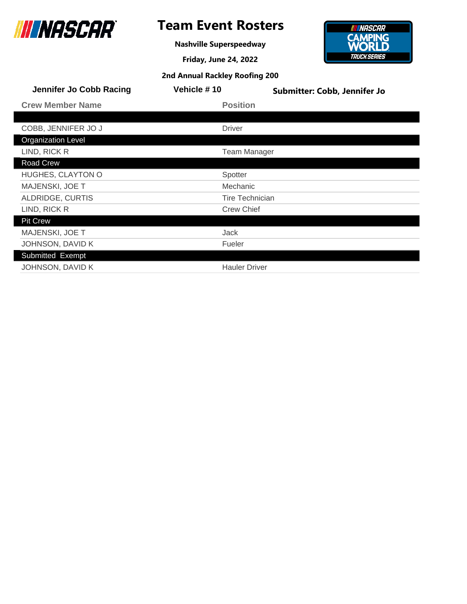

## **Team Event Rosters**

**Nashville Superspeedway**



| Jennifer Jo Cobb Racing   | Vehicle #10            | Submitter: Cobb, Jennifer Jo |
|---------------------------|------------------------|------------------------------|
| <b>Crew Member Name</b>   | <b>Position</b>        |                              |
|                           |                        |                              |
| COBB, JENNIFER JO J       | <b>Driver</b>          |                              |
| <b>Organization Level</b> |                        |                              |
| LIND, RICK R              | <b>Team Manager</b>    |                              |
| Road Crew                 |                        |                              |
| <b>HUGHES, CLAYTON O</b>  | Spotter                |                              |
| MAJENSKI, JOE T           | Mechanic               |                              |
| ALDRIDGE, CURTIS          | <b>Tire Technician</b> |                              |
| LIND, RICK R              | <b>Crew Chief</b>      |                              |
| <b>Pit Crew</b>           |                        |                              |
| <b>MAJENSKI, JOE T</b>    | Jack                   |                              |
| JOHNSON, DAVID K          | Fueler                 |                              |
| Submitted Exempt          |                        |                              |
| JOHNSON, DAVID K          | <b>Hauler Driver</b>   |                              |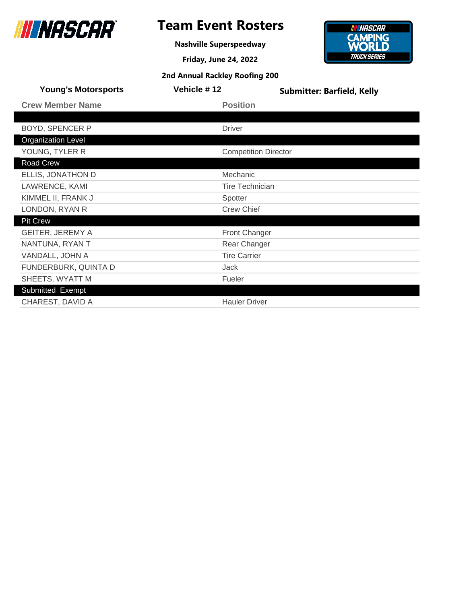

**Nashville Superspeedway**

**Friday, June 24, 2022**



| <b>Young's Motorsports</b> | Vehicle #12                 | <b>Submitter: Barfield, Kelly</b> |
|----------------------------|-----------------------------|-----------------------------------|
| <b>Crew Member Name</b>    | <b>Position</b>             |                                   |
|                            |                             |                                   |
| <b>BOYD, SPENCER P</b>     | <b>Driver</b>               |                                   |
| <b>Organization Level</b>  |                             |                                   |
| YOUNG, TYLER R             | <b>Competition Director</b> |                                   |
| Road Crew                  |                             |                                   |
| ELLIS, JONATHON D          | Mechanic                    |                                   |
| LAWRENCE, KAMI             | <b>Tire Technician</b>      |                                   |
| KIMMEL II, FRANK J         | Spotter                     |                                   |
| LONDON, RYAN R             | <b>Crew Chief</b>           |                                   |
| <b>Pit Crew</b>            |                             |                                   |
| <b>GEITER, JEREMY A</b>    | <b>Front Changer</b>        |                                   |
| NANTUNA, RYAN T            | Rear Changer                |                                   |
| VANDALL, JOHN A            | <b>Tire Carrier</b>         |                                   |
| FUNDERBURK, QUINTA D       | Jack                        |                                   |
| SHEETS, WYATT M            | Fueler                      |                                   |
| Submitted Exempt           |                             |                                   |
| CHAREST, DAVID A           | <b>Hauler Driver</b>        |                                   |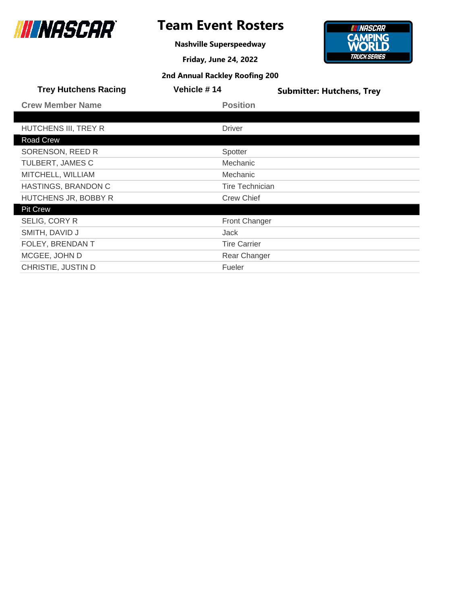

**Nashville Superspeedway**

**Friday, June 24, 2022**



| <b>Trey Hutchens Racing</b> | Vehicle #14            | <b>Submitter: Hutchens, Trey</b> |
|-----------------------------|------------------------|----------------------------------|
| <b>Crew Member Name</b>     | <b>Position</b>        |                                  |
|                             |                        |                                  |
| HUTCHENS III, TREY R        | <b>Driver</b>          |                                  |
| Road Crew                   |                        |                                  |
| SORENSON, REED R            | Spotter                |                                  |
| TULBERT, JAMES C            | Mechanic               |                                  |
| MITCHELL, WILLIAM           | Mechanic               |                                  |
| HASTINGS, BRANDON C         | <b>Tire Technician</b> |                                  |
| HUTCHENS JR, BOBBY R        | <b>Crew Chief</b>      |                                  |
| <b>Pit Crew</b>             |                        |                                  |
| SELIG, CORY R               | <b>Front Changer</b>   |                                  |
| SMITH, DAVID J              | Jack                   |                                  |
| FOLEY, BRENDAN T            | <b>Tire Carrier</b>    |                                  |
| MCGEE, JOHN D               | Rear Changer           |                                  |
| CHRISTIE, JUSTIN D          | Fueler                 |                                  |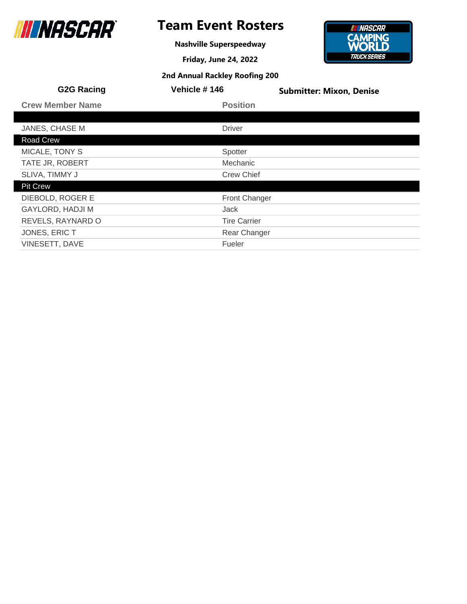

**Nashville Superspeedway**

**Friday, June 24, 2022**



| <b>G2G Racing</b>       | Vehicle #146         | <b>Submitter: Mixon, Denise</b> |
|-------------------------|----------------------|---------------------------------|
| <b>Crew Member Name</b> | <b>Position</b>      |                                 |
|                         |                      |                                 |
| JANES, CHASE M          | <b>Driver</b>        |                                 |
| Road Crew               |                      |                                 |
| MICALE, TONY S          | Spotter              |                                 |
| TATE JR, ROBERT         | Mechanic             |                                 |
| SLIVA, TIMMY J          | <b>Crew Chief</b>    |                                 |
| <b>Pit Crew</b>         |                      |                                 |
| DIEBOLD, ROGER E        | <b>Front Changer</b> |                                 |
| <b>GAYLORD, HADJI M</b> | Jack                 |                                 |
| REVELS, RAYNARD O       | <b>Tire Carrier</b>  |                                 |
| JONES, ERIC T           | Rear Changer         |                                 |
| VINESETT, DAVE          | Fueler               |                                 |
|                         |                      |                                 |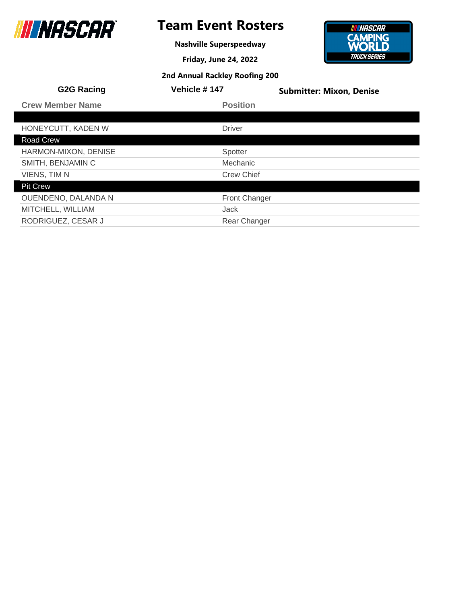

## **Team Event Rosters**

**Nashville Superspeedway**

**Friday, June 24, 2022**



| <b>G2G Racing</b>       | Vehicle #147         | <b>Submitter: Mixon, Denise</b> |
|-------------------------|----------------------|---------------------------------|
| <b>Crew Member Name</b> | <b>Position</b>      |                                 |
|                         |                      |                                 |
| HONEYCUTT, KADEN W      | <b>Driver</b>        |                                 |
| Road Crew               |                      |                                 |
| HARMON-MIXON, DENISE    | Spotter              |                                 |
| SMITH, BENJAMIN C       | Mechanic             |                                 |
| VIENS, TIM N            | <b>Crew Chief</b>    |                                 |
| <b>Pit Crew</b>         |                      |                                 |
| OUENDENO, DALANDA N     | <b>Front Changer</b> |                                 |
| MITCHELL, WILLIAM       | Jack                 |                                 |
| RODRIGUEZ, CESAR J      | <b>Rear Changer</b>  |                                 |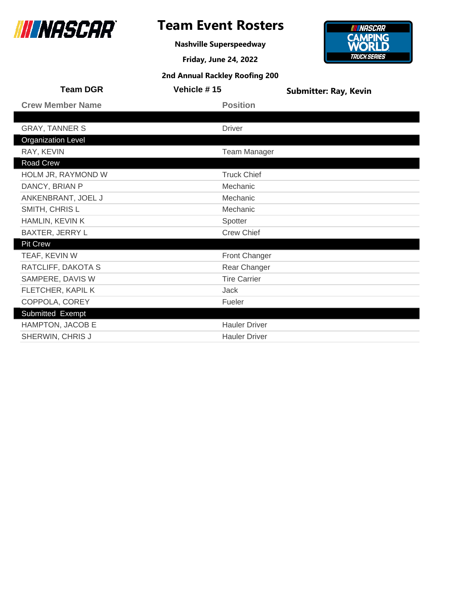

**Nashville Superspeedway**

**Friday, June 24, 2022**



| <b>Team DGR</b>           | Vehicle #15          | <b>Submitter: Ray, Kevin</b> |
|---------------------------|----------------------|------------------------------|
| <b>Crew Member Name</b>   | <b>Position</b>      |                              |
|                           |                      |                              |
| <b>GRAY, TANNER S</b>     | <b>Driver</b>        |                              |
| <b>Organization Level</b> |                      |                              |
| RAY, KEVIN                | <b>Team Manager</b>  |                              |
| Road Crew                 |                      |                              |
| HOLM JR, RAYMOND W        | <b>Truck Chief</b>   |                              |
| DANCY, BRIAN P            | Mechanic             |                              |
| ANKENBRANT, JOEL J        | Mechanic             |                              |
| SMITH, CHRIS L            | Mechanic             |                              |
| HAMLIN, KEVIN K           | Spotter              |                              |
| BAXTER, JERRY L           | <b>Crew Chief</b>    |                              |
| <b>Pit Crew</b>           |                      |                              |
| TEAF, KEVIN W             | Front Changer        |                              |
| RATCLIFF, DAKOTA S        | Rear Changer         |                              |
| SAMPERE, DAVIS W          | <b>Tire Carrier</b>  |                              |
| FLETCHER, KAPIL K         | <b>Jack</b>          |                              |
| COPPOLA, COREY            | Fueler               |                              |
| Submitted Exempt          |                      |                              |
| HAMPTON, JACOB E          | <b>Hauler Driver</b> |                              |
| SHERWIN, CHRIS J          | <b>Hauler Driver</b> |                              |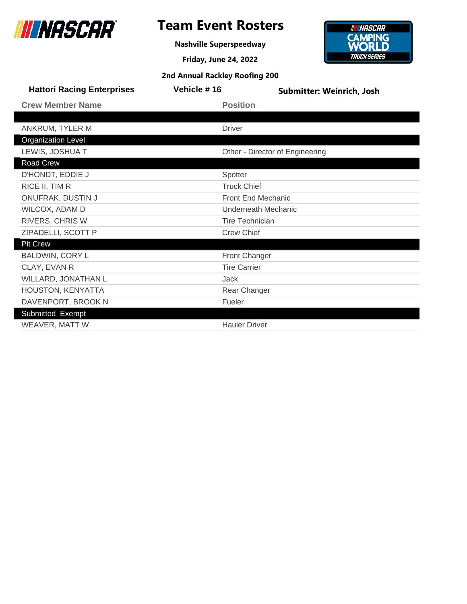

**Nashville Superspeedway**



| <b>Hattori Racing Enterprises</b> | Vehicle #16            | Submitter: Weinrich, Josh       |  |
|-----------------------------------|------------------------|---------------------------------|--|
| <b>Crew Member Name</b>           | <b>Position</b>        |                                 |  |
|                                   |                        |                                 |  |
| ANKRUM, TYLER M                   | <b>Driver</b>          |                                 |  |
| <b>Organization Level</b>         |                        |                                 |  |
| LEWIS, JOSHUA T                   |                        | Other - Director of Engineering |  |
| Road Crew                         |                        |                                 |  |
| D'HONDT, EDDIE J                  | Spotter                |                                 |  |
| RICE II, TIM R                    | <b>Truck Chief</b>     |                                 |  |
| ONUFRAK, DUSTIN J                 | Front End Mechanic     |                                 |  |
| WILCOX, ADAM D                    | Underneath Mechanic    |                                 |  |
| RIVERS, CHRIS W                   | <b>Tire Technician</b> |                                 |  |
| ZIPADELLI, SCOTT P                | <b>Crew Chief</b>      |                                 |  |
| <b>Pit Crew</b>                   |                        |                                 |  |
| BALDWIN, CORY L                   | <b>Front Changer</b>   |                                 |  |
| CLAY, EVAN R                      | <b>Tire Carrier</b>    |                                 |  |
| WILLARD, JONATHAN L               | Jack                   |                                 |  |
| HOUSTON, KENYATTA                 | Rear Changer           |                                 |  |
| DAVENPORT, BROOK N                | Fueler                 |                                 |  |
| Submitted Exempt                  |                        |                                 |  |
| WEAVER, MATT W                    | <b>Hauler Driver</b>   |                                 |  |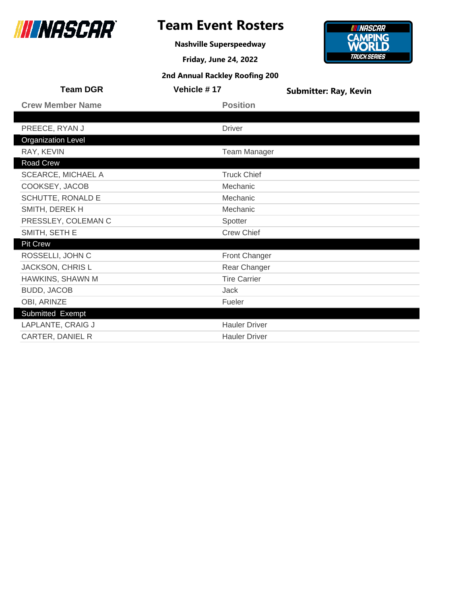

## **Team Event Rosters**

**Nashville Superspeedway**

**Friday, June 24, 2022**

**2nd Annual Rackley Roofing 200**

### **INNASCAR CAMPING**<br>**WORLD TRUCK SERIES**

| <b>Team DGR</b>           | Vehicle #17          | <b>Submitter: Ray, Kevin</b> |
|---------------------------|----------------------|------------------------------|
| <b>Crew Member Name</b>   | <b>Position</b>      |                              |
|                           |                      |                              |
| PREECE, RYAN J            | <b>Driver</b>        |                              |
| <b>Organization Level</b> |                      |                              |
| RAY, KEVIN                | <b>Team Manager</b>  |                              |
| Road Crew                 |                      |                              |
| <b>SCEARCE, MICHAEL A</b> | <b>Truck Chief</b>   |                              |
| COOKSEY, JACOB            | Mechanic             |                              |
| SCHUTTE, RONALD E         | Mechanic             |                              |
| SMITH, DEREK H            | Mechanic             |                              |
| PRESSLEY, COLEMAN C       | Spotter              |                              |
| SMITH, SETH E             | <b>Crew Chief</b>    |                              |
| <b>Pit Crew</b>           |                      |                              |
| ROSSELLI, JOHN C          | Front Changer        |                              |
| JACKSON, CHRIS L          | Rear Changer         |                              |
| HAWKINS, SHAWN M          | <b>Tire Carrier</b>  |                              |
| BUDD, JACOB               | Jack                 |                              |
| OBI, ARINZE               | Fueler               |                              |
| Submitted Exempt          |                      |                              |
| LAPLANTE, CRAIG J         | <b>Hauler Driver</b> |                              |
| CARTER, DANIEL R          | <b>Hauler Driver</b> |                              |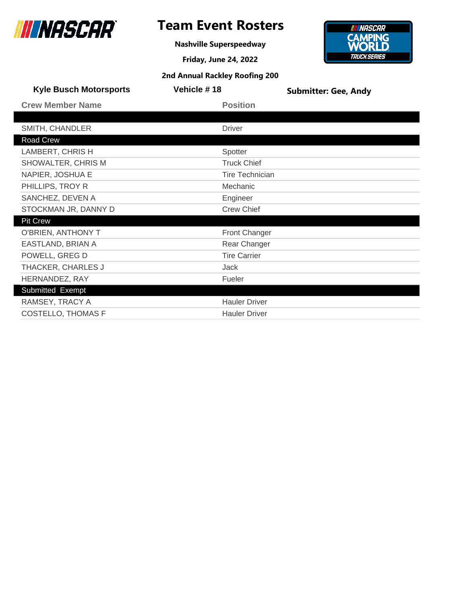

**Nashville Superspeedway**

**Friday, June 24, 2022 2nd Annual Rackley Roofing 200**



| <b>Kyle Busch Motorsports</b> | Vehicle #18            | <b>Submitter: Gee, Andy</b> |
|-------------------------------|------------------------|-----------------------------|
| <b>Crew Member Name</b>       | <b>Position</b>        |                             |
|                               |                        |                             |
| SMITH, CHANDLER               | <b>Driver</b>          |                             |
| <b>Road Crew</b>              |                        |                             |
| LAMBERT, CHRIS H              | Spotter                |                             |
| SHOWALTER, CHRIS M            | <b>Truck Chief</b>     |                             |
| NAPIER, JOSHUA E              | <b>Tire Technician</b> |                             |
| PHILLIPS, TROY R              | Mechanic               |                             |
| SANCHEZ, DEVEN A              | Engineer               |                             |
| STOCKMAN JR, DANNY D          | <b>Crew Chief</b>      |                             |
| <b>Pit Crew</b>               |                        |                             |
| O'BRIEN, ANTHONY T            | Front Changer          |                             |
| EASTLAND, BRIAN A             | Rear Changer           |                             |
| POWELL, GREG D                | <b>Tire Carrier</b>    |                             |
| THACKER, CHARLES J            | Jack                   |                             |
| HERNANDEZ, RAY                | Fueler                 |                             |
| Submitted Exempt              |                        |                             |
|                               |                        |                             |

| Submitted Exempt   |                      |
|--------------------|----------------------|
| RAMSEY, TRACY A    | <b>Hauler Driver</b> |
| COSTELLO, THOMAS F | <b>Hauler Driver</b> |
|                    |                      |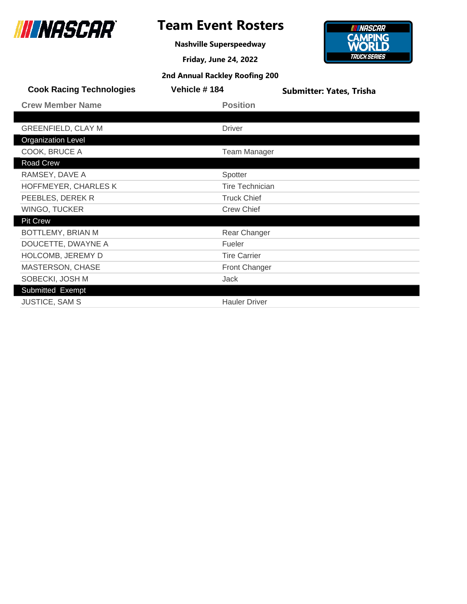

## **Team Event Rosters**

**Nashville Superspeedway**



| <b>Cook Racing Technologies</b> | Vehicle #184           | <b>Submitter: Yates, Trisha</b> |
|---------------------------------|------------------------|---------------------------------|
| <b>Crew Member Name</b>         | <b>Position</b>        |                                 |
|                                 |                        |                                 |
| <b>GREENFIELD, CLAY M</b>       | <b>Driver</b>          |                                 |
| <b>Organization Level</b>       |                        |                                 |
| COOK, BRUCE A                   | <b>Team Manager</b>    |                                 |
| Road Crew                       |                        |                                 |
| RAMSEY, DAVE A                  | Spotter                |                                 |
| HOFFMEYER, CHARLES K            | <b>Tire Technician</b> |                                 |
| PEEBLES, DEREK R                | <b>Truck Chief</b>     |                                 |
| WINGO, TUCKER                   | <b>Crew Chief</b>      |                                 |
| <b>Pit Crew</b>                 |                        |                                 |
| BOTTLEMY, BRIAN M               | Rear Changer           |                                 |
| DOUCETTE, DWAYNE A              | Fueler                 |                                 |
| HOLCOMB, JEREMY D               | <b>Tire Carrier</b>    |                                 |
| MASTERSON, CHASE                | Front Changer          |                                 |
| SOBECKI, JOSH M                 | Jack                   |                                 |
| Submitted Exempt                |                        |                                 |
| <b>JUSTICE, SAM S</b>           | <b>Hauler Driver</b>   |                                 |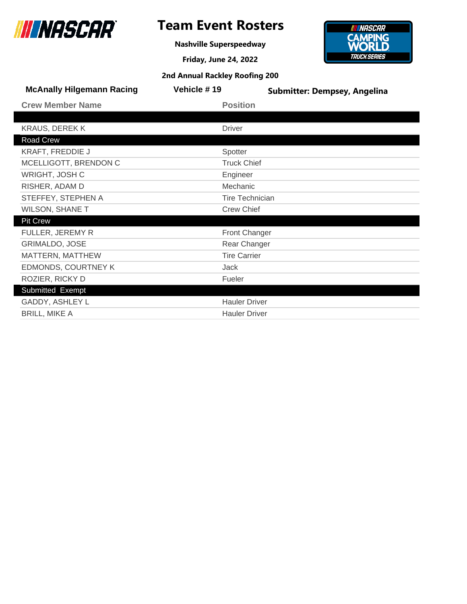

## **Team Event Rosters**

**Nashville Superspeedway**

**Friday, June 24, 2022**



| <b>McAnally Hilgemann Racing</b> | Vehicle #19            | <b>Submitter: Dempsey, Angelina</b> |
|----------------------------------|------------------------|-------------------------------------|
| <b>Crew Member Name</b>          | <b>Position</b>        |                                     |
|                                  |                        |                                     |
| <b>KRAUS, DEREK K</b>            | <b>Driver</b>          |                                     |
| Road Crew                        |                        |                                     |
| <b>KRAFT, FREDDIE J</b>          | Spotter                |                                     |
| MCELLIGOTT, BRENDON C            | <b>Truck Chief</b>     |                                     |
| WRIGHT, JOSH C                   | Engineer               |                                     |
| RISHER, ADAM D                   | Mechanic               |                                     |
| STEFFEY, STEPHEN A               | <b>Tire Technician</b> |                                     |
| <b>WILSON, SHANE T</b>           | <b>Crew Chief</b>      |                                     |
| <b>Pit Crew</b>                  |                        |                                     |
| FULLER, JEREMY R                 | <b>Front Changer</b>   |                                     |
| <b>GRIMALDO, JOSE</b>            | Rear Changer           |                                     |
| MATTERN, MATTHEW                 | <b>Tire Carrier</b>    |                                     |
| EDMONDS, COURTNEY K              | Jack                   |                                     |
| ROZIER, RICKY D                  | Fueler                 |                                     |
| Submitted Exempt                 |                        |                                     |
| GADDY, ASHLEY L                  | <b>Hauler Driver</b>   |                                     |
| <b>BRILL, MIKE A</b>             | <b>Hauler Driver</b>   |                                     |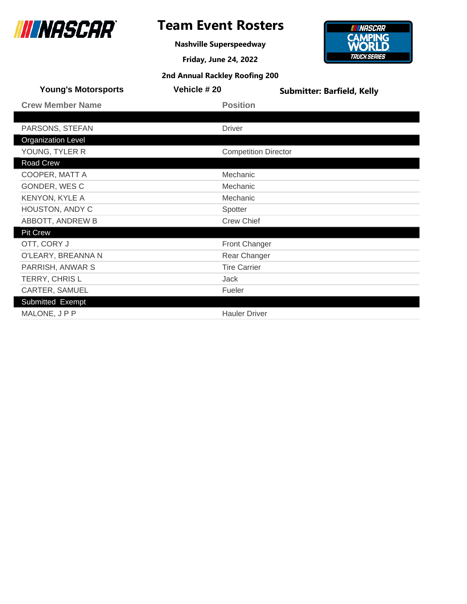

**Nashville Superspeedway**



| <b>Young's Motorsports</b> | Vehicle #20          | <b>Submitter: Barfield, Kelly</b> |
|----------------------------|----------------------|-----------------------------------|
| <b>Crew Member Name</b>    | <b>Position</b>      |                                   |
|                            |                      |                                   |
| PARSONS, STEFAN            | <b>Driver</b>        |                                   |
| <b>Organization Level</b>  |                      |                                   |
| YOUNG, TYLER R             |                      | <b>Competition Director</b>       |
| <b>Road Crew</b>           |                      |                                   |
| COOPER, MATT A             | Mechanic             |                                   |
| GONDER, WESC               | Mechanic             |                                   |
| <b>KENYON, KYLE A</b>      | Mechanic             |                                   |
| HOUSTON, ANDY C            | Spotter              |                                   |
| ABBOTT, ANDREW B           | <b>Crew Chief</b>    |                                   |
| <b>Pit Crew</b>            |                      |                                   |
| OTT, CORY J                | Front Changer        |                                   |
| O'LEARY, BREANNA N         | Rear Changer         |                                   |
| PARRISH, ANWAR S           | <b>Tire Carrier</b>  |                                   |
| TERRY, CHRIS L             | <b>Jack</b>          |                                   |
| CARTER, SAMUEL             | Fueler               |                                   |
| Submitted Exempt           |                      |                                   |
| MALONE, JPP                | <b>Hauler Driver</b> |                                   |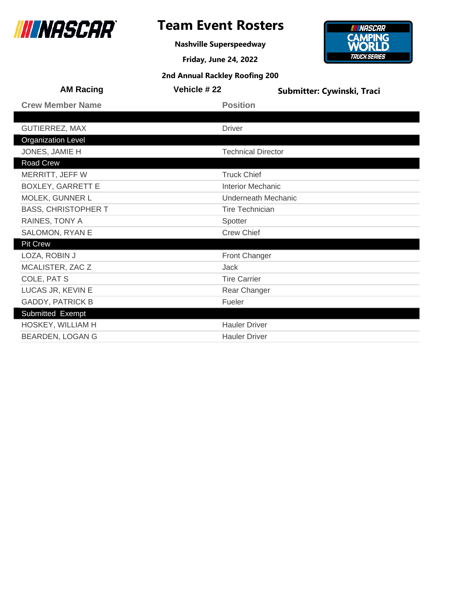

**Nashville Superspeedway**



| <b>AM Racing</b>           | <b>Vehicle #22</b>        | Submitter: Cywinski, Traci |  |
|----------------------------|---------------------------|----------------------------|--|
| <b>Crew Member Name</b>    | <b>Position</b>           |                            |  |
|                            |                           |                            |  |
| <b>GUTIERREZ, MAX</b>      | <b>Driver</b>             |                            |  |
| <b>Organization Level</b>  |                           |                            |  |
| JONES, JAMIE H             | <b>Technical Director</b> |                            |  |
| <b>Road Crew</b>           |                           |                            |  |
| MERRITT, JEFF W            | <b>Truck Chief</b>        |                            |  |
| <b>BOXLEY, GARRETT E</b>   | <b>Interior Mechanic</b>  |                            |  |
| MOLEK, GUNNER L            | Underneath Mechanic       |                            |  |
| <b>BASS, CHRISTOPHER T</b> |                           | <b>Tire Technician</b>     |  |
| RAINES, TONY A             | Spotter                   |                            |  |
| SALOMON, RYAN E            | <b>Crew Chief</b>         |                            |  |
| <b>Pit Crew</b>            |                           |                            |  |
| LOZA, ROBIN J              | Front Changer             |                            |  |
| MCALISTER, ZAC Z           | Jack                      |                            |  |
| COLE, PAT S                | <b>Tire Carrier</b>       |                            |  |
| LUCAS JR, KEVIN E          | Rear Changer              |                            |  |
| <b>GADDY, PATRICK B</b>    | Fueler                    |                            |  |
| Submitted Exempt           |                           |                            |  |
| HOSKEY, WILLIAM H          | <b>Hauler Driver</b>      |                            |  |
| <b>BEARDEN, LOGAN G</b>    | <b>Hauler Driver</b>      |                            |  |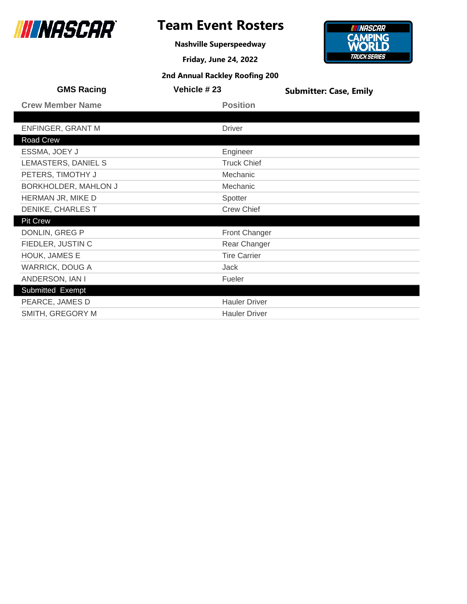

**Nashville Superspeedway**

**Friday, June 24, 2022 2nd Annual Rackley Roofing 200**

### **INNASCAR CAMPING**<br>**WORLD TRUCK SERIES**

| <b>GMS Racing</b>        | Vehicle #23          | <b>Submitter: Case, Emily</b> |
|--------------------------|----------------------|-------------------------------|
| <b>Crew Member Name</b>  | <b>Position</b>      |                               |
|                          |                      |                               |
| <b>ENFINGER, GRANT M</b> | <b>Driver</b>        |                               |
| Road Crew                |                      |                               |
| ESSMA, JOEY J            | Engineer             |                               |
| LEMASTERS, DANIEL S      | <b>Truck Chief</b>   |                               |
| PETERS, TIMOTHY J        | Mechanic             |                               |
| BORKHOLDER, MAHLON J     | Mechanic             |                               |
| HERMAN JR, MIKE D        | Spotter              |                               |
| DENIKE, CHARLES T        | <b>Crew Chief</b>    |                               |
| <b>Pit Crew</b>          |                      |                               |
| DONLIN, GREG P           | <b>Front Changer</b> |                               |
| FIEDLER, JUSTIN C        | Rear Changer         |                               |
| HOUK, JAMES E            | <b>Tire Carrier</b>  |                               |
| <b>WARRICK, DOUG A</b>   | Jack                 |                               |
| ANDERSON, IAN I          | Fueler               |                               |
| Submitted Exempt         |                      |                               |
| PEARCE, JAMES D          | <b>Hauler Driver</b> |                               |
| SMITH, GREGORY M         | <b>Hauler Driver</b> |                               |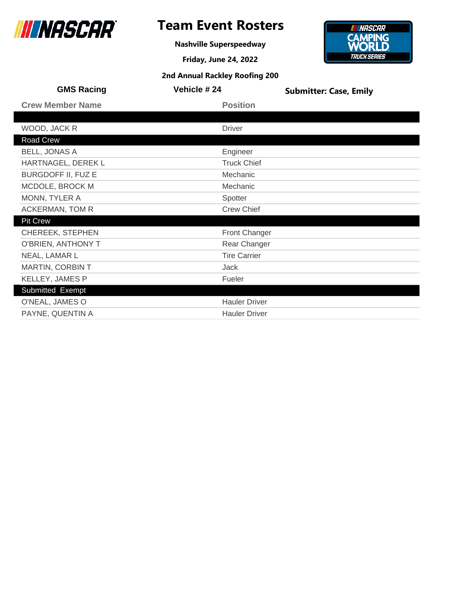

**Nashville Superspeedway**

**Friday, June 24, 2022 2nd Annual Rackley Roofing 200**

### **INNASCAR CAMPING**<br>**WORLD TRUCK SERIES**

| <b>GMS Racing</b>         | Vehicle #24          | <b>Submitter: Case, Emily</b> |
|---------------------------|----------------------|-------------------------------|
| <b>Crew Member Name</b>   | <b>Position</b>      |                               |
|                           |                      |                               |
| WOOD, JACK R              | <b>Driver</b>        |                               |
| Road Crew                 |                      |                               |
| <b>BELL, JONAS A</b>      | Engineer             |                               |
| HARTNAGEL, DEREK L        | <b>Truck Chief</b>   |                               |
| <b>BURGDOFF II, FUZ E</b> | Mechanic             |                               |
| MCDOLE, BROCK M           | Mechanic             |                               |
| MONN, TYLER A             | Spotter              |                               |
| ACKERMAN, TOM R           | <b>Crew Chief</b>    |                               |
| <b>Pit Crew</b>           |                      |                               |
| <b>CHEREEK, STEPHEN</b>   | <b>Front Changer</b> |                               |
| O'BRIEN, ANTHONY T        | Rear Changer         |                               |
| NEAL, LAMAR L             | <b>Tire Carrier</b>  |                               |
| MARTIN, CORBIN T          | Jack                 |                               |
| KELLEY, JAMES P           | Fueler               |                               |
| Submitted Exempt          |                      |                               |
| O'NEAL, JAMES O           | <b>Hauler Driver</b> |                               |
| PAYNE, QUENTIN A          | <b>Hauler Driver</b> |                               |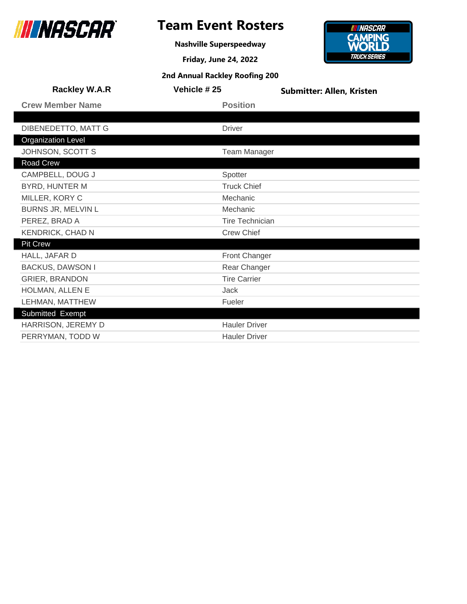

## **Team Event Rosters**

**Nashville Superspeedway**

**Friday, June 24, 2022**



| <b>Rackley W.A.R</b>      | Vehicle #25            | <b>Submitter: Allen, Kristen</b> |
|---------------------------|------------------------|----------------------------------|
| <b>Crew Member Name</b>   | <b>Position</b>        |                                  |
|                           |                        |                                  |
| DIBENEDETTO, MATT G       | <b>Driver</b>          |                                  |
| <b>Organization Level</b> |                        |                                  |
| JOHNSON, SCOTT S          | <b>Team Manager</b>    |                                  |
| Road Crew                 |                        |                                  |
| CAMPBELL, DOUG J          | Spotter                |                                  |
| BYRD, HUNTER M            | <b>Truck Chief</b>     |                                  |
| MILLER, KORY C            | Mechanic               |                                  |
| BURNS JR, MELVIN L        | Mechanic               |                                  |
| PEREZ, BRAD A             | <b>Tire Technician</b> |                                  |
| <b>KENDRICK, CHAD N</b>   | <b>Crew Chief</b>      |                                  |
| <b>Pit Crew</b>           |                        |                                  |
| HALL, JAFAR D             | <b>Front Changer</b>   |                                  |
| <b>BACKUS, DAWSON I</b>   | Rear Changer           |                                  |
| <b>GRIER, BRANDON</b>     | <b>Tire Carrier</b>    |                                  |
| HOLMAN, ALLEN E           | Jack                   |                                  |
| LEHMAN, MATTHEW           | Fueler                 |                                  |
| Submitted Exempt          |                        |                                  |
| HARRISON, JEREMY D        | <b>Hauler Driver</b>   |                                  |
| PERRYMAN, TODD W          | <b>Hauler Driver</b>   |                                  |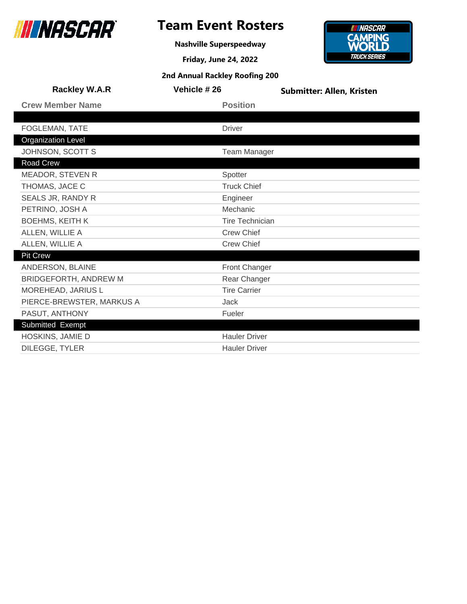

## **Team Event Rosters**

**Nashville Superspeedway**

**Friday, June 24, 2022**



| <b>Rackley W.A.R</b>         | Vehicle #26            | <b>Submitter: Allen, Kristen</b> |
|------------------------------|------------------------|----------------------------------|
| <b>Crew Member Name</b>      | <b>Position</b>        |                                  |
|                              |                        |                                  |
| FOGLEMAN, TATE               | <b>Driver</b>          |                                  |
| <b>Organization Level</b>    |                        |                                  |
| JOHNSON, SCOTT S             | <b>Team Manager</b>    |                                  |
| Road Crew                    |                        |                                  |
| <b>MEADOR, STEVEN R</b>      | Spotter                |                                  |
| THOMAS, JACE C               | <b>Truck Chief</b>     |                                  |
| SEALS JR, RANDY R            | Engineer               |                                  |
| PETRINO, JOSH A              | Mechanic               |                                  |
| <b>BOEHMS, KEITH K</b>       | <b>Tire Technician</b> |                                  |
| ALLEN, WILLIE A              | <b>Crew Chief</b>      |                                  |
| ALLEN, WILLIE A              | <b>Crew Chief</b>      |                                  |
| <b>Pit Crew</b>              |                        |                                  |
| ANDERSON, BLAINE             | <b>Front Changer</b>   |                                  |
| <b>BRIDGEFORTH, ANDREW M</b> | Rear Changer           |                                  |
| MOREHEAD, JARIUS L           | <b>Tire Carrier</b>    |                                  |
| PIERCE-BREWSTER, MARKUS A    | Jack                   |                                  |
| PASUT, ANTHONY               | Fueler                 |                                  |
| Submitted Exempt             |                        |                                  |
| HOSKINS, JAMIE D             | <b>Hauler Driver</b>   |                                  |
| DILEGGE, TYLER               | <b>Hauler Driver</b>   |                                  |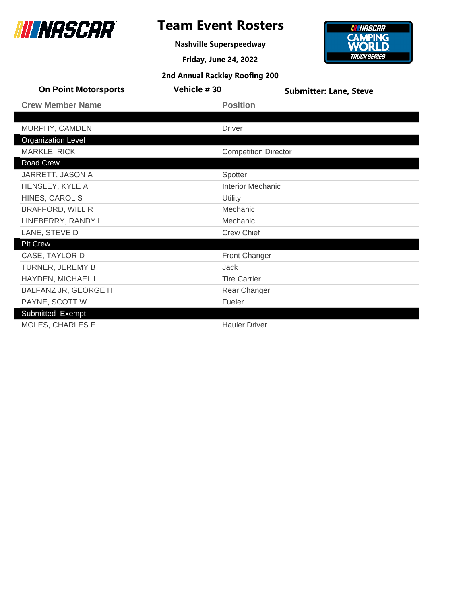

## **Team Event Rosters**

**Nashville Superspeedway**



| <b>On Point Motorsports</b> | Vehicle #30                 | <b>Submitter: Lane, Steve</b> |
|-----------------------------|-----------------------------|-------------------------------|
| <b>Crew Member Name</b>     | <b>Position</b>             |                               |
|                             |                             |                               |
| MURPHY, CAMDEN              | <b>Driver</b>               |                               |
| <b>Organization Level</b>   |                             |                               |
| MARKLE, RICK                | <b>Competition Director</b> |                               |
| Road Crew                   |                             |                               |
| JARRETT, JASON A            | Spotter                     |                               |
| HENSLEY, KYLE A             | <b>Interior Mechanic</b>    |                               |
| HINES, CAROL S              | Utility                     |                               |
| <b>BRAFFORD, WILL R</b>     | Mechanic                    |                               |
| LINEBERRY, RANDY L          | Mechanic                    |                               |
| LANE, STEVE D               | <b>Crew Chief</b>           |                               |
| <b>Pit Crew</b>             |                             |                               |
| CASE, TAYLOR D              | <b>Front Changer</b>        |                               |
| TURNER, JEREMY B            | Jack                        |                               |
| HAYDEN, MICHAEL L           | <b>Tire Carrier</b>         |                               |
| BALFANZ JR, GEORGE H        | Rear Changer                |                               |
| PAYNE, SCOTT W              | Fueler                      |                               |
| Submitted Exempt            |                             |                               |
| <b>MOLES, CHARLES E</b>     | <b>Hauler Driver</b>        |                               |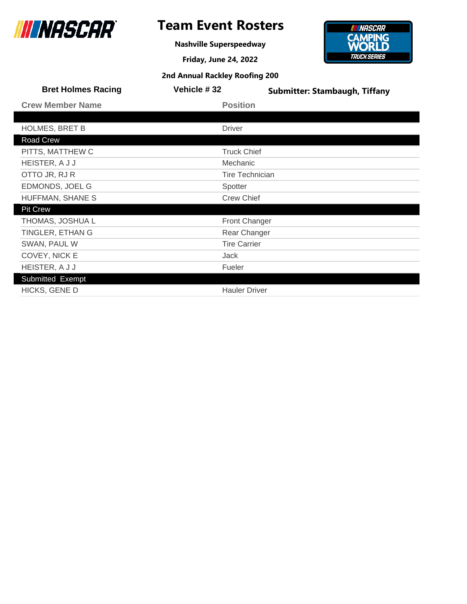

**Nashville Superspeedway**

**Friday, June 24, 2022**



| Vehicle #32            | <b>Submitter: Stambaugh, Tiffany</b> |
|------------------------|--------------------------------------|
| <b>Position</b>        |                                      |
|                        |                                      |
| <b>Driver</b>          |                                      |
|                        |                                      |
| <b>Truck Chief</b>     |                                      |
| Mechanic               |                                      |
| <b>Tire Technician</b> |                                      |
| Spotter                |                                      |
| <b>Crew Chief</b>      |                                      |
|                        |                                      |
| <b>Front Changer</b>   |                                      |
| Rear Changer           |                                      |
| <b>Tire Carrier</b>    |                                      |
| Jack                   |                                      |
| Fueler                 |                                      |
|                        |                                      |
| <b>Hauler Driver</b>   |                                      |
|                        |                                      |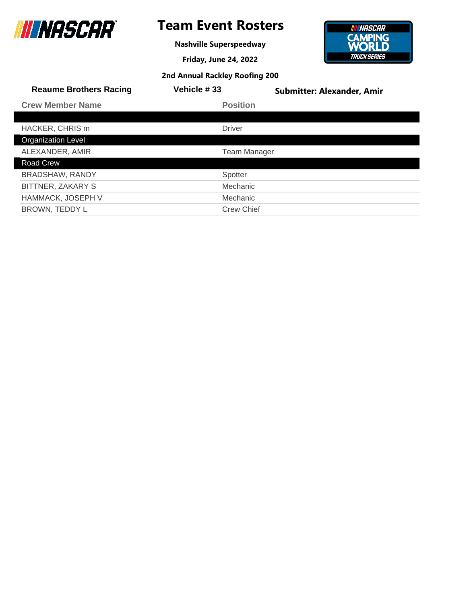

**Nashville Superspeedway**

**Friday, June 24, 2022**



| 2nd Annual Rackley Roofing 200 |  |  |  |
|--------------------------------|--|--|--|
|--------------------------------|--|--|--|

| <b>Reaume Brothers Racing</b> | Vehicle #33         | <b>Submitter: Alexander, Amir</b> |
|-------------------------------|---------------------|-----------------------------------|
| <b>Crew Member Name</b>       | <b>Position</b>     |                                   |
|                               |                     |                                   |
| HACKER, CHRIS m               | <b>Driver</b>       |                                   |
| <b>Organization Level</b>     |                     |                                   |
| ALEXANDER, AMIR               | <b>Team Manager</b> |                                   |
| Road Crew                     |                     |                                   |
| <b>BRADSHAW, RANDY</b>        | Spotter             |                                   |
| BITTNER, ZAKARY S             | Mechanic            |                                   |
| <b>HAMMACK, JOSEPH V</b>      | Mechanic            |                                   |
| BROWN, TEDDY L                | <b>Crew Chief</b>   |                                   |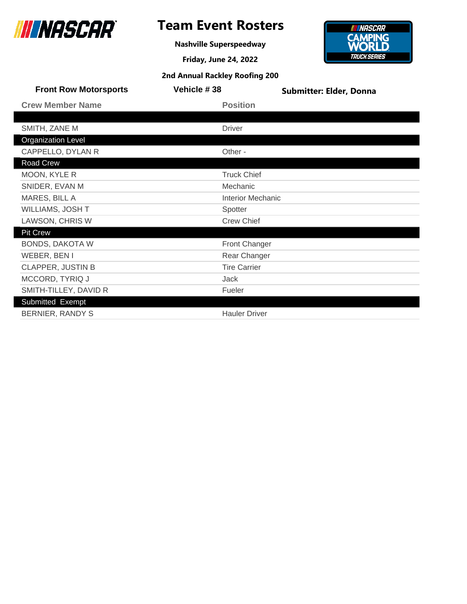

**Nashville Superspeedway**



| <b>Front Row Motorsports</b> | Vehicle #38              | <b>Submitter: Elder, Donna</b> |
|------------------------------|--------------------------|--------------------------------|
| <b>Crew Member Name</b>      | <b>Position</b>          |                                |
|                              |                          |                                |
| SMITH, ZANE M                | <b>Driver</b>            |                                |
| <b>Organization Level</b>    |                          |                                |
| CAPPELLO, DYLAN R            | Other -                  |                                |
| Road Crew                    |                          |                                |
| MOON, KYLE R                 | <b>Truck Chief</b>       |                                |
| SNIDER, EVAN M               | Mechanic                 |                                |
| MARES, BILL A                | <b>Interior Mechanic</b> |                                |
| WILLIAMS, JOSH T             | Spotter                  |                                |
| LAWSON, CHRIS W              | <b>Crew Chief</b>        |                                |
| <b>Pit Crew</b>              |                          |                                |
| <b>BONDS, DAKOTA W</b>       | Front Changer            |                                |
| WEBER, BEN I                 | Rear Changer             |                                |
| <b>CLAPPER, JUSTIN B</b>     | <b>Tire Carrier</b>      |                                |
| MCCORD, TYRIQ J              | Jack                     |                                |
| SMITH-TILLEY, DAVID R        | Fueler                   |                                |
| Submitted Exempt             |                          |                                |
| BERNIER, RANDY S             | <b>Hauler Driver</b>     |                                |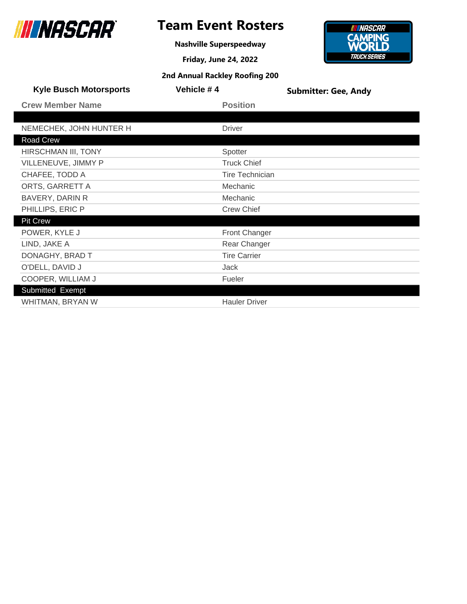

**Nashville Superspeedway**



| <b>Kyle Busch Motorsports</b> | Vehicle #4             | <b>Submitter: Gee, Andy</b> |
|-------------------------------|------------------------|-----------------------------|
| <b>Crew Member Name</b>       | <b>Position</b>        |                             |
|                               |                        |                             |
| NEMECHEK, JOHN HUNTER H       | <b>Driver</b>          |                             |
| Road Crew                     |                        |                             |
| HIRSCHMAN III, TONY           | Spotter                |                             |
| VILLENEUVE, JIMMY P           | <b>Truck Chief</b>     |                             |
| CHAFEE, TODD A                | <b>Tire Technician</b> |                             |
| ORTS, GARRETT A               | Mechanic               |                             |
| <b>BAVERY, DARIN R</b>        | Mechanic               |                             |
| PHILLIPS, ERIC P              | <b>Crew Chief</b>      |                             |
| <b>Pit Crew</b>               |                        |                             |
| POWER, KYLE J                 | Front Changer          |                             |
| LIND, JAKE A                  | Rear Changer           |                             |
| DONAGHY, BRAD T               | <b>Tire Carrier</b>    |                             |
| O'DELL, DAVID J               | Jack                   |                             |
| COOPER, WILLIAM J             | Fueler                 |                             |
| Submitted Exempt              |                        |                             |
| WHITMAN, BRYAN W              | <b>Hauler Driver</b>   |                             |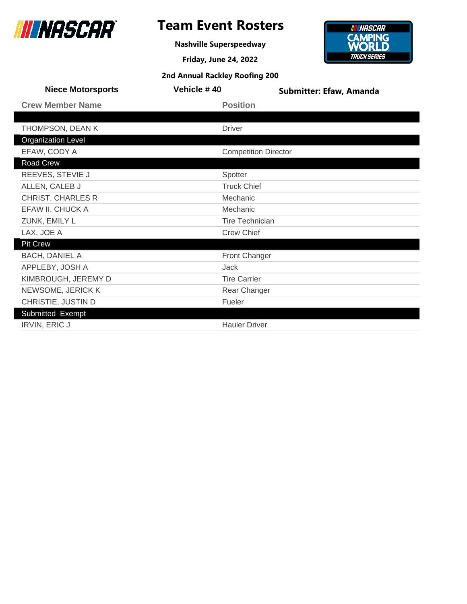

**Nashville Superspeedway**



| <b>Niece Motorsports</b>  | Vehicle #40                 | <b>Submitter: Efaw, Amanda</b> |
|---------------------------|-----------------------------|--------------------------------|
| <b>Crew Member Name</b>   | <b>Position</b>             |                                |
|                           |                             |                                |
| THOMPSON, DEAN K          | <b>Driver</b>               |                                |
| <b>Organization Level</b> |                             |                                |
| EFAW, CODY A              | <b>Competition Director</b> |                                |
| Road Crew                 |                             |                                |
| REEVES, STEVIE J          | Spotter                     |                                |
| ALLEN, CALEB J            | <b>Truck Chief</b>          |                                |
| <b>CHRIST, CHARLES R</b>  | Mechanic                    |                                |
| EFAW II, CHUCK A          | Mechanic                    |                                |
| ZUNK, EMILY L             | <b>Tire Technician</b>      |                                |
| LAX, JOE A                | <b>Crew Chief</b>           |                                |
| <b>Pit Crew</b>           |                             |                                |
| <b>BACH, DANIEL A</b>     | Front Changer               |                                |
| APPLEBY, JOSH A           | Jack                        |                                |
| KIMBROUGH, JEREMY D       | <b>Tire Carrier</b>         |                                |
| NEWSOME, JERICK K         | Rear Changer                |                                |
| CHRISTIE, JUSTIN D        | Fueler                      |                                |
| Submitted Exempt          |                             |                                |
| <b>IRVIN, ERIC J</b>      | <b>Hauler Driver</b>        |                                |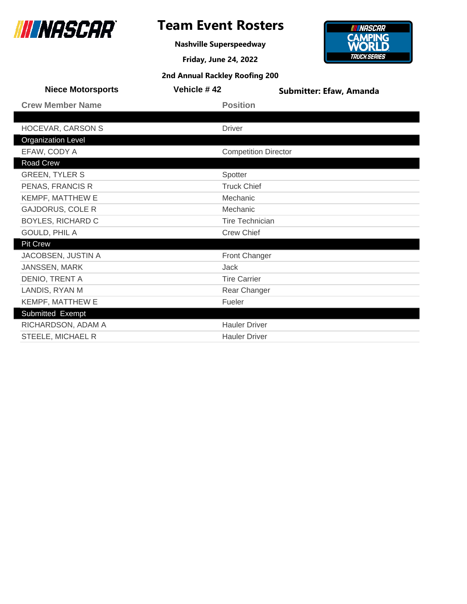

## **Team Event Rosters**

**Nashville Superspeedway**



| <b>Niece Motorsports</b>  | Vehicle #42                 | <b>Submitter: Efaw, Amanda</b> |
|---------------------------|-----------------------------|--------------------------------|
| <b>Crew Member Name</b>   | <b>Position</b>             |                                |
|                           |                             |                                |
| HOCEVAR, CARSON S         | <b>Driver</b>               |                                |
| <b>Organization Level</b> |                             |                                |
| EFAW, CODY A              | <b>Competition Director</b> |                                |
| Road Crew                 |                             |                                |
| <b>GREEN, TYLER S</b>     | Spotter                     |                                |
| PENAS, FRANCIS R          | <b>Truck Chief</b>          |                                |
| KEMPF, MATTHEW E          | Mechanic                    |                                |
| <b>GAJDORUS, COLE R</b>   | Mechanic                    |                                |
| <b>BOYLES, RICHARD C</b>  | <b>Tire Technician</b>      |                                |
| GOULD, PHIL A             | <b>Crew Chief</b>           |                                |
| <b>Pit Crew</b>           |                             |                                |
| JACOBSEN, JUSTIN A        | Front Changer               |                                |
| JANSSEN, MARK             | Jack                        |                                |
| DENIO, TRENT A            | <b>Tire Carrier</b>         |                                |
| LANDIS, RYAN M            | Rear Changer                |                                |
| KEMPF, MATTHEW E          | Fueler                      |                                |
| Submitted Exempt          |                             |                                |
| RICHARDSON, ADAM A        | <b>Hauler Driver</b>        |                                |
| STEELE, MICHAEL R         | <b>Hauler Driver</b>        |                                |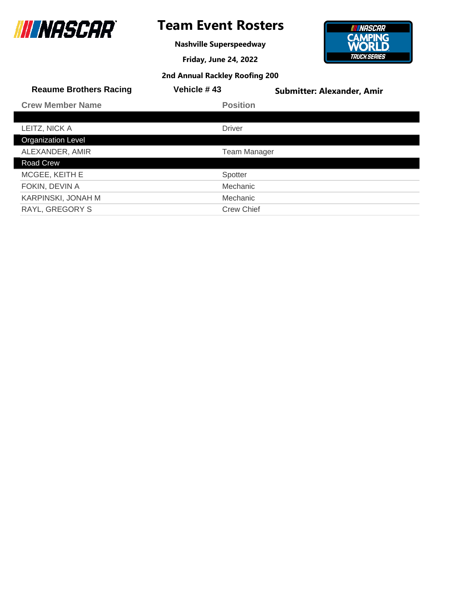

ı

## **Team Event Rosters**

**Nashville Superspeedway**

**Friday, June 24, 2022**



| 2nd Annual Rackley Roofing 200 |  |  |  |
|--------------------------------|--|--|--|
|--------------------------------|--|--|--|

| <b>Reaume Brothers Racing</b> | <b>Vehicle #43</b>  | <b>Submitter: Alexander, Amir</b> |
|-------------------------------|---------------------|-----------------------------------|
| <b>Crew Member Name</b>       | <b>Position</b>     |                                   |
|                               |                     |                                   |
| LEITZ, NICK A                 | <b>Driver</b>       |                                   |
| <b>Organization Level</b>     |                     |                                   |
| ALEXANDER, AMIR               | <b>Team Manager</b> |                                   |
| Road Crew                     |                     |                                   |
| MCGEE, KEITH E                | Spotter             |                                   |
| FOKIN, DEVIN A                | Mechanic            |                                   |
| KARPINSKI, JONAH M            | Mechanic            |                                   |
| <b>RAYL, GREGORY S</b>        | <b>Crew Chief</b>   |                                   |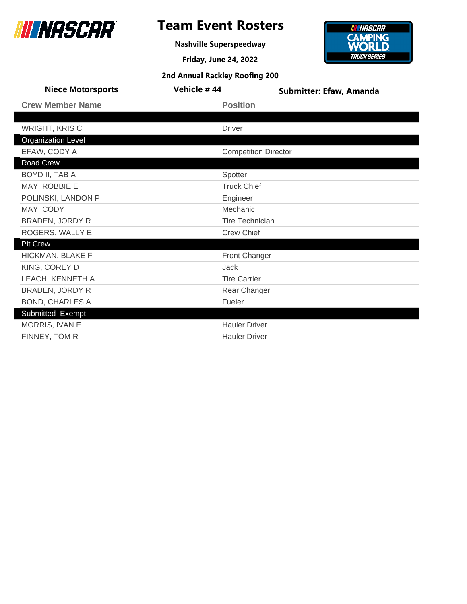

**Nashville Superspeedway**



| <b>Niece Motorsports</b>  | Vehicle #44                 | <b>Submitter: Efaw, Amanda</b> |
|---------------------------|-----------------------------|--------------------------------|
| <b>Crew Member Name</b>   | <b>Position</b>             |                                |
|                           |                             |                                |
| <b>WRIGHT, KRIS C</b>     | <b>Driver</b>               |                                |
| <b>Organization Level</b> |                             |                                |
| EFAW, CODY A              | <b>Competition Director</b> |                                |
| Road Crew                 |                             |                                |
| BOYD II, TAB A            | Spotter                     |                                |
| MAY, ROBBIE E             | <b>Truck Chief</b>          |                                |
| POLINSKI, LANDON P        | Engineer                    |                                |
| MAY, CODY                 | Mechanic                    |                                |
| <b>BRADEN, JORDY R</b>    | <b>Tire Technician</b>      |                                |
| ROGERS, WALLY E           | <b>Crew Chief</b>           |                                |
| <b>Pit Crew</b>           |                             |                                |
| HICKMAN, BLAKE F          | Front Changer               |                                |
| KING, COREY D             | <b>Jack</b>                 |                                |
| LEACH, KENNETH A          | <b>Tire Carrier</b>         |                                |
| <b>BRADEN, JORDY R</b>    | Rear Changer                |                                |
| <b>BOND, CHARLES A</b>    | Fueler                      |                                |
| Submitted Exempt          |                             |                                |
| MORRIS, IVAN E            | <b>Hauler Driver</b>        |                                |
| FINNEY, TOM R             | <b>Hauler Driver</b>        |                                |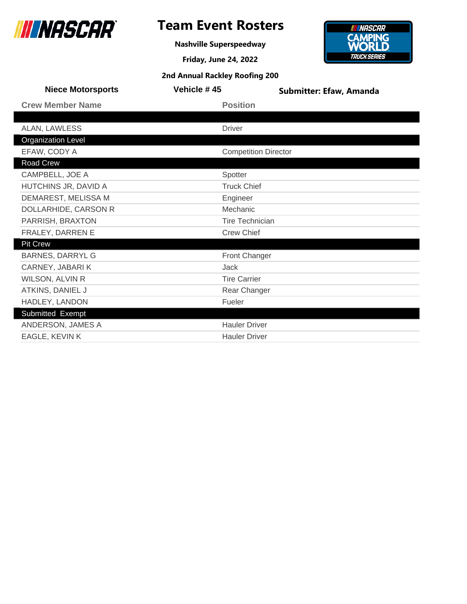

## **Team Event Rosters**

**Nashville Superspeedway**



| <b>Niece Motorsports</b>  | Vehicle #45                 | <b>Submitter: Efaw, Amanda</b> |
|---------------------------|-----------------------------|--------------------------------|
| <b>Crew Member Name</b>   | <b>Position</b>             |                                |
|                           |                             |                                |
| ALAN, LAWLESS             | <b>Driver</b>               |                                |
| <b>Organization Level</b> |                             |                                |
| EFAW, CODY A              | <b>Competition Director</b> |                                |
| Road Crew                 |                             |                                |
| CAMPBELL, JOE A           | Spotter                     |                                |
| HUTCHINS JR, DAVID A      | <b>Truck Chief</b>          |                                |
| DEMAREST, MELISSA M       | Engineer                    |                                |
| DOLLARHIDE, CARSON R      | Mechanic                    |                                |
| PARRISH, BRAXTON          | <b>Tire Technician</b>      |                                |
| FRALEY, DARREN E          | <b>Crew Chief</b>           |                                |
| <b>Pit Crew</b>           |                             |                                |
| <b>BARNES, DARRYL G</b>   | Front Changer               |                                |
| CARNEY, JABARI K          | <b>Jack</b>                 |                                |
| WILSON, ALVIN R           | <b>Tire Carrier</b>         |                                |
| ATKINS, DANIEL J          | Rear Changer                |                                |
| HADLEY, LANDON            | Fueler                      |                                |
| Submitted Exempt          |                             |                                |
| ANDERSON, JAMES A         | <b>Hauler Driver</b>        |                                |
| EAGLE, KEVIN K            | <b>Hauler Driver</b>        |                                |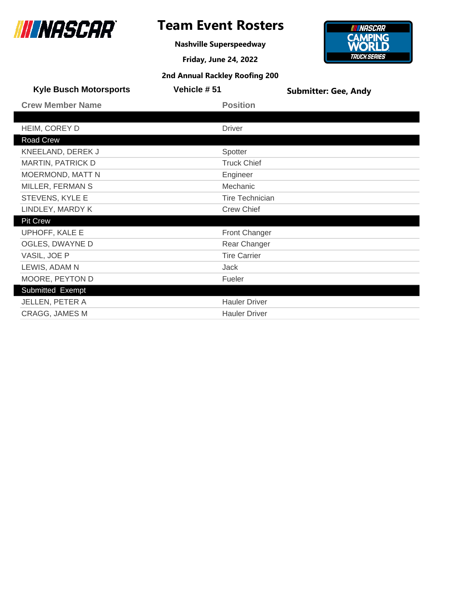

**Nashville Superspeedway**

**Friday, June 24, 2022**



| <b>Kyle Busch Motorsports</b> | Vehicle #51            | <b>Submitter: Gee, Andy</b> |
|-------------------------------|------------------------|-----------------------------|
| <b>Crew Member Name</b>       | <b>Position</b>        |                             |
|                               |                        |                             |
| HEIM, COREY D                 | <b>Driver</b>          |                             |
| Road Crew                     |                        |                             |
| KNEELAND, DEREK J             | Spotter                |                             |
| <b>MARTIN, PATRICK D</b>      | <b>Truck Chief</b>     |                             |
| <b>MOERMOND, MATT N</b>       | Engineer               |                             |
| MILLER, FERMAN S              | Mechanic               |                             |
| STEVENS, KYLE E               | <b>Tire Technician</b> |                             |
| LINDLEY, MARDY K              | <b>Crew Chief</b>      |                             |
| <b>Pit Crew</b>               |                        |                             |
| UPHOFF, KALE E                | <b>Front Changer</b>   |                             |
| OGLES, DWAYNE D               | Rear Changer           |                             |
| VASIL, JOE P                  | <b>Tire Carrier</b>    |                             |
| LEWIS, ADAM N                 | <b>Jack</b>            |                             |
| MOORE, PEYTON D               | Fueler                 |                             |
| Submitted Exempt              |                        |                             |
| JELLEN, PETER A               | <b>Hauler Driver</b>   |                             |
| <b>CRAGG, JAMES M</b>         | <b>Hauler Driver</b>   |                             |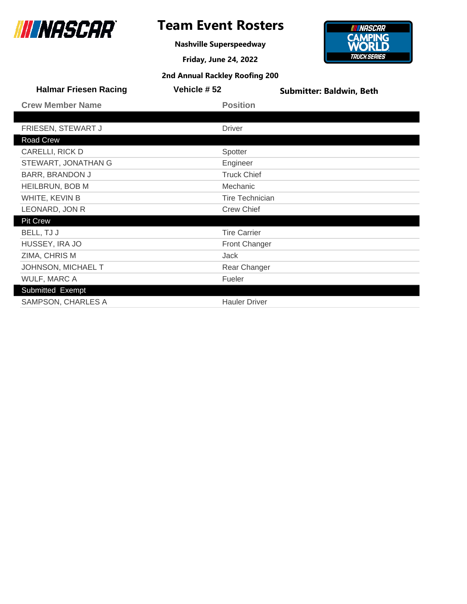

**Nashville Superspeedway**



| <b>Halmar Friesen Racing</b> | Vehicle #52        | <b>Submitter: Baldwin, Beth</b> |
|------------------------------|--------------------|---------------------------------|
| <b>Crew Member Name</b>      | <b>Position</b>    |                                 |
|                              |                    |                                 |
| FRIESEN, STEWART J           | <b>Driver</b>      |                                 |
| <b>Road Crew</b>             |                    |                                 |
| CARELLI, RICK D              | Spotter            |                                 |
| STEWART, JONATHAN G          | Engineer           |                                 |
| <b>BARR, BRANDON J</b>       | <b>Truck Chief</b> |                                 |
| <b>HEILBRUN, BOB M</b>       | Mechanic           |                                 |

| WHITE, KEVIN B      | <b>Tire Technician</b> |
|---------------------|------------------------|
| LEONARD, JON R      | <b>Crew Chief</b>      |
| <b>Pit Crew</b>     |                        |
| BELL, TJ J          | <b>Tire Carrier</b>    |
| HUSSEY, IRA JO      | Front Changer          |
| ZIMA, CHRIS M       | Jack                   |
| JOHNSON, MICHAEL T  | Rear Changer           |
| <b>WULF, MARC A</b> | Fueler                 |
| Submitted Exempt    |                        |
| SAMPSON, CHARLES A  | <b>Hauler Driver</b>   |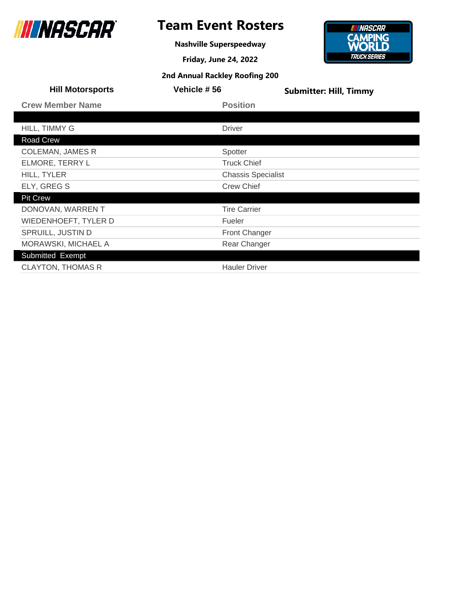

**Nashville Superspeedway**

**Friday, June 24, 2022**



| <b>Hill Motorsports</b>  | Vehicle #56               | <b>Submitter: Hill, Timmy</b> |
|--------------------------|---------------------------|-------------------------------|
| <b>Crew Member Name</b>  | <b>Position</b>           |                               |
|                          |                           |                               |
| HILL, TIMMY G            | <b>Driver</b>             |                               |
| Road Crew                |                           |                               |
| <b>COLEMAN, JAMES R</b>  | Spotter                   |                               |
| ELMORE, TERRY L          | <b>Truck Chief</b>        |                               |
| HILL, TYLER              | <b>Chassis Specialist</b> |                               |
| ELY, GREG S              | <b>Crew Chief</b>         |                               |
| <b>Pit Crew</b>          |                           |                               |
| DONOVAN, WARREN T        | <b>Tire Carrier</b>       |                               |
| WIEDENHOEFT, TYLER D     | Fueler                    |                               |
| SPRUILL, JUSTIN D        | <b>Front Changer</b>      |                               |
| MORAWSKI, MICHAEL A      | Rear Changer              |                               |
| Submitted Exempt         |                           |                               |
| <b>CLAYTON, THOMAS R</b> | <b>Hauler Driver</b>      |                               |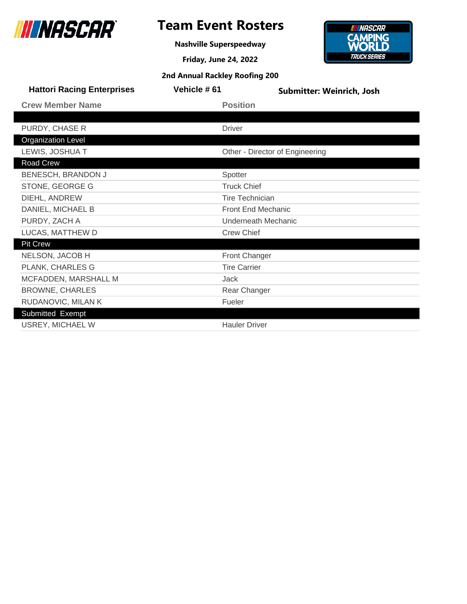

**Nashville Superspeedway**



| <b>Hattori Racing Enterprises</b> | Vehicle #61               | Submitter: Weinrich, Josh       |  |
|-----------------------------------|---------------------------|---------------------------------|--|
| <b>Crew Member Name</b>           |                           | <b>Position</b>                 |  |
|                                   |                           |                                 |  |
| PURDY, CHASE R                    |                           | <b>Driver</b>                   |  |
| <b>Organization Level</b>         |                           |                                 |  |
| LEWIS, JOSHUA T                   |                           | Other - Director of Engineering |  |
| Road Crew                         |                           |                                 |  |
| BENESCH, BRANDON J                |                           | Spotter                         |  |
| STONE, GEORGE G                   |                           | <b>Truck Chief</b>              |  |
| DIEHL, ANDREW                     |                           | <b>Tire Technician</b>          |  |
| DANIEL, MICHAEL B                 | <b>Front End Mechanic</b> |                                 |  |
| PURDY, ZACH A                     | Underneath Mechanic       |                                 |  |
| LUCAS, MATTHEW D                  |                           | <b>Crew Chief</b>               |  |
| <b>Pit Crew</b>                   |                           |                                 |  |
| NELSON, JACOB H                   |                           | <b>Front Changer</b>            |  |
| PLANK, CHARLES G                  |                           | <b>Tire Carrier</b>             |  |
| MCFADDEN, MARSHALL M              |                           | <b>Jack</b>                     |  |
| <b>BROWNE, CHARLES</b>            |                           | Rear Changer                    |  |
| RUDANOVIC, MILAN K                |                           | Fueler                          |  |
| Submitted Exempt                  |                           |                                 |  |
| USREY, MICHAEL W                  |                           | <b>Hauler Driver</b>            |  |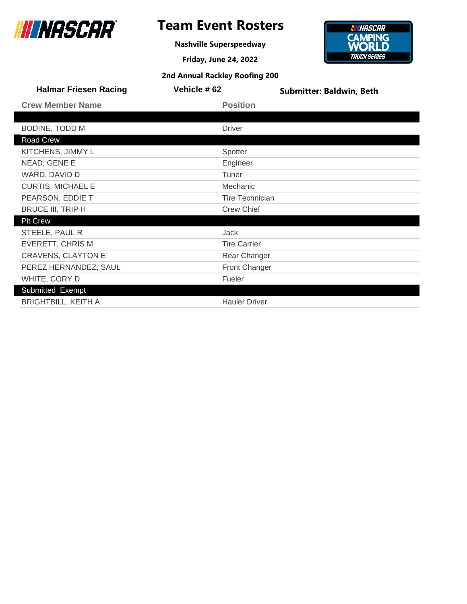

**Nashville Superspeedway**

**Friday, June 24, 2022 2nd Annual Rackley Roofing 200**



| <b>Halmar Friesen Racing</b> | Vehicle #62            | <b>Submitter: Baldwin, Beth</b> |
|------------------------------|------------------------|---------------------------------|
| <b>Crew Member Name</b>      | <b>Position</b>        |                                 |
|                              |                        |                                 |
| BODINE, TODD M               | <b>Driver</b>          |                                 |
| Road Crew                    |                        |                                 |
| KITCHENS, JIMMY L            | Spotter                |                                 |
| NEAD, GENE E                 | Engineer               |                                 |
| WARD, DAVID D                | Tuner                  |                                 |
| <b>CURTIS, MICHAEL E</b>     | Mechanic               |                                 |
| PEARSON, EDDIE T             | <b>Tire Technician</b> |                                 |
| <b>BRUCE III, TRIP H</b>     | <b>Crew Chief</b>      |                                 |
| <b>Pit Crew</b>              |                        |                                 |
| STEELE, PAUL R               | Jack                   |                                 |
| <b>EVERETT, CHRIS M</b>      | <b>Tire Carrier</b>    |                                 |
| <b>CRAVENS, CLAYTON E</b>    | Rear Changer           |                                 |
| PEREZ HERNANDEZ, SAUL        | <b>Front Changer</b>   |                                 |
| WHITE, CORY D                | Fueler                 |                                 |
| Submitted Exempt             |                        |                                 |
| <b>BRIGHTBILL, KEITH A</b>   | <b>Hauler Driver</b>   |                                 |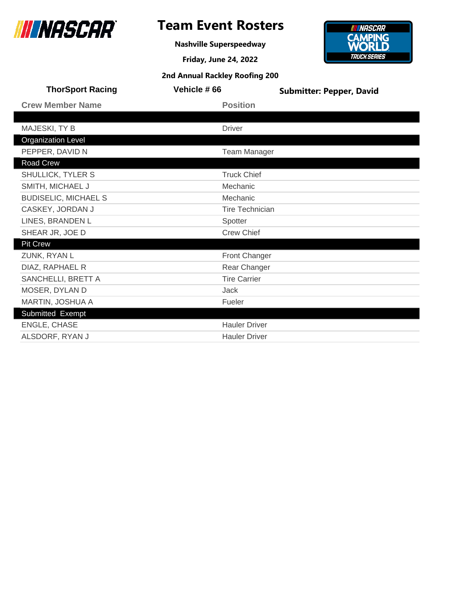

**Nashville Superspeedway**



| <b>ThorSport Racing</b>     | Vehicle #66            | <b>Submitter: Pepper, David</b> |  |
|-----------------------------|------------------------|---------------------------------|--|
| <b>Crew Member Name</b>     | <b>Position</b>        |                                 |  |
|                             |                        |                                 |  |
| MAJESKI, TY B               | <b>Driver</b>          |                                 |  |
| <b>Organization Level</b>   |                        |                                 |  |
| PEPPER, DAVID N             | <b>Team Manager</b>    |                                 |  |
| Road Crew                   |                        |                                 |  |
| SHULLICK, TYLER S           | <b>Truck Chief</b>     |                                 |  |
| SMITH, MICHAEL J            | Mechanic               |                                 |  |
| <b>BUDISELIC, MICHAEL S</b> | Mechanic               |                                 |  |
| CASKEY, JORDAN J            | <b>Tire Technician</b> |                                 |  |
| LINES, BRANDEN L            | Spotter                |                                 |  |
| SHEAR JR, JOE D             | <b>Crew Chief</b>      |                                 |  |
| <b>Pit Crew</b>             |                        |                                 |  |
| ZUNK, RYAN L                | Front Changer          |                                 |  |
| DIAZ, RAPHAEL R             | Rear Changer           |                                 |  |
| SANCHELLI, BRETT A          | <b>Tire Carrier</b>    |                                 |  |
| MOSER, DYLAN D              | Jack                   |                                 |  |
| MARTIN, JOSHUA A            | Fueler                 |                                 |  |
| Submitted Exempt            |                        |                                 |  |
| ENGLE, CHASE                | <b>Hauler Driver</b>   |                                 |  |
| ALSDORF, RYAN J             | <b>Hauler Driver</b>   |                                 |  |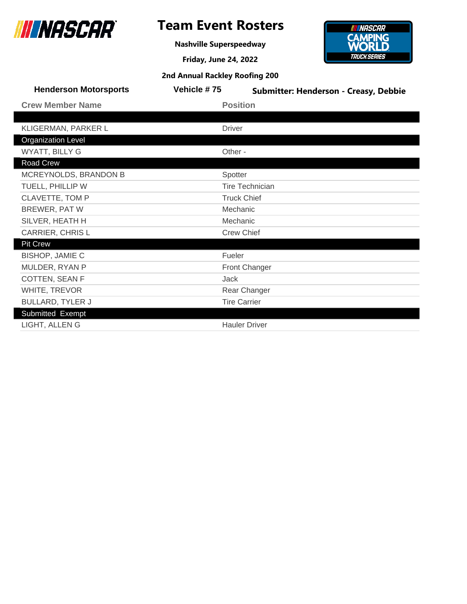

## **Team Event Rosters**

**Nashville Superspeedway**

**Friday, June 24, 2022**



| <b>2nd Annual Rackley Roofing 200</b> |  |  |  |
|---------------------------------------|--|--|--|
|---------------------------------------|--|--|--|

| <b>Henderson Motorsports</b> | Vehicle #75         | Submitter: Henderson - Creasy, Debbie |  |
|------------------------------|---------------------|---------------------------------------|--|
| <b>Crew Member Name</b>      |                     | <b>Position</b>                       |  |
|                              |                     |                                       |  |
| KLIGERMAN, PARKER L          | <b>Driver</b>       |                                       |  |
| <b>Organization Level</b>    |                     |                                       |  |
| WYATT, BILLY G               | Other -             |                                       |  |
| Road Crew                    |                     |                                       |  |
| MCREYNOLDS, BRANDON B        | Spotter             |                                       |  |
| TUELL, PHILLIP W             |                     | <b>Tire Technician</b>                |  |
| <b>CLAVETTE, TOM P</b>       | <b>Truck Chief</b>  |                                       |  |
| BREWER, PAT W                | Mechanic            |                                       |  |
| SILVER, HEATH H              | Mechanic            |                                       |  |
| <b>CARRIER, CHRISL</b>       | <b>Crew Chief</b>   |                                       |  |
| <b>Pit Crew</b>              |                     |                                       |  |
| <b>BISHOP, JAMIE C</b>       | Fueler              |                                       |  |
| MULDER, RYAN P               |                     | Front Changer                         |  |
| COTTEN, SEAN F               | Jack                |                                       |  |
| WHITE, TREVOR                | Rear Changer        |                                       |  |
| <b>BULLARD, TYLER J</b>      | <b>Tire Carrier</b> |                                       |  |
| Submitted Exempt             |                     |                                       |  |
| LIGHT, ALLENG                |                     | <b>Hauler Driver</b>                  |  |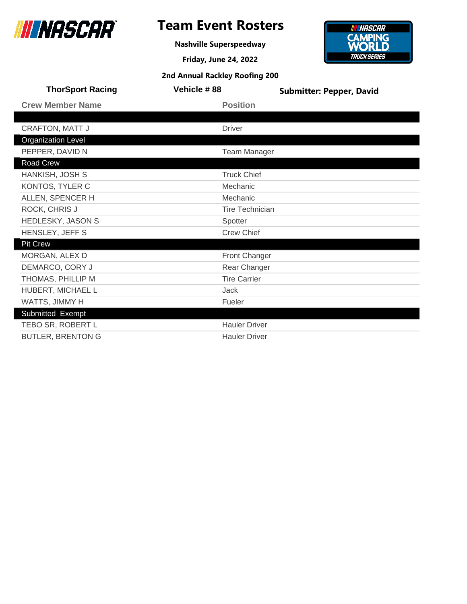

**Nashville Superspeedway**



| <b>ThorSport Racing</b>   | Vehicle #88            | <b>Submitter: Pepper, David</b> |
|---------------------------|------------------------|---------------------------------|
| <b>Crew Member Name</b>   | <b>Position</b>        |                                 |
|                           |                        |                                 |
| <b>CRAFTON, MATT J</b>    | <b>Driver</b>          |                                 |
| <b>Organization Level</b> |                        |                                 |
| PEPPER, DAVID N           | <b>Team Manager</b>    |                                 |
| Road Crew                 |                        |                                 |
| HANKISH, JOSH S           | <b>Truck Chief</b>     |                                 |
| KONTOS, TYLER C           | Mechanic               |                                 |
| ALLEN, SPENCER H          | Mechanic               |                                 |
| ROCK, CHRIS J             | <b>Tire Technician</b> |                                 |
| HEDLESKY, JASON S         | Spotter                |                                 |
| HENSLEY, JEFF S           | <b>Crew Chief</b>      |                                 |
| <b>Pit Crew</b>           |                        |                                 |
| MORGAN, ALEX D            | <b>Front Changer</b>   |                                 |
| DEMARCO, CORY J           | Rear Changer           |                                 |
| THOMAS, PHILLIP M         | <b>Tire Carrier</b>    |                                 |
| HUBERT, MICHAEL L         | Jack                   |                                 |
| WATTS, JIMMY H            | Fueler                 |                                 |
| Submitted Exempt          |                        |                                 |
| TEBO SR, ROBERT L         | <b>Hauler Driver</b>   |                                 |
| <b>BUTLER, BRENTON G</b>  | <b>Hauler Driver</b>   |                                 |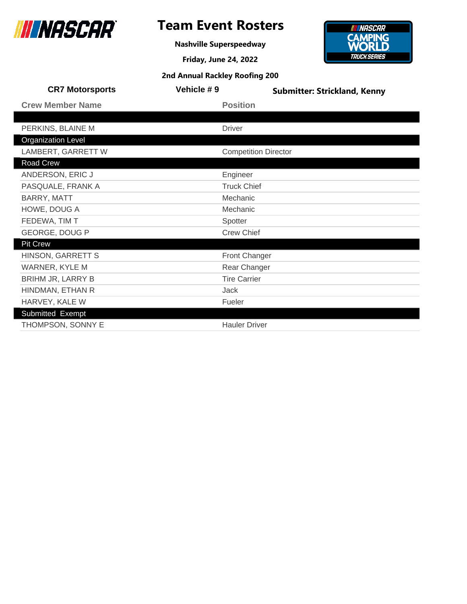

**Nashville Superspeedway**

**Friday, June 24, 2022**



| <b>CR7 Motorsports</b>    | Vehicle #9 |                             | <b>Submitter: Strickland, Kenny</b> |
|---------------------------|------------|-----------------------------|-------------------------------------|
| <b>Crew Member Name</b>   |            | <b>Position</b>             |                                     |
|                           |            |                             |                                     |
| PERKINS, BLAINE M         |            | <b>Driver</b>               |                                     |
| <b>Organization Level</b> |            |                             |                                     |
| LAMBERT, GARRETT W        |            | <b>Competition Director</b> |                                     |
| <b>Road Crew</b>          |            |                             |                                     |
| ANDERSON, ERIC J          |            | Engineer                    |                                     |
| PASQUALE, FRANK A         |            | <b>Truck Chief</b>          |                                     |
| BARRY, MATT               |            | Mechanic                    |                                     |
| HOWE, DOUG A              |            | Mechanic                    |                                     |
| FEDEWA, TIM T             |            | Spotter                     |                                     |
| GEORGE, DOUG P            |            | <b>Crew Chief</b>           |                                     |
| <b>Pit Crew</b>           |            |                             |                                     |
| HINSON, GARRETT S         |            | <b>Front Changer</b>        |                                     |
| <b>WARNER, KYLE M</b>     |            | Rear Changer                |                                     |
| BRIHM JR, LARRY B         |            | <b>Tire Carrier</b>         |                                     |
| HINDMAN, ETHAN R          |            | Jack                        |                                     |
| HARVEY, KALE W            |            | Fueler                      |                                     |
| Submitted Exempt          |            |                             |                                     |
| THOMPSON, SONNY E         |            | <b>Hauler Driver</b>        |                                     |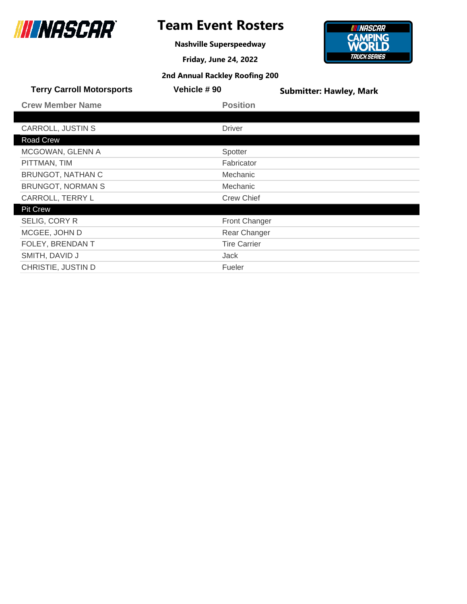

**Nashville Superspeedway**

**Friday, June 24, 2022**



| <b>Terry Carroll Motorsports</b> | Vehicle #90          | <b>Submitter: Hawley, Mark</b> |
|----------------------------------|----------------------|--------------------------------|
| <b>Crew Member Name</b>          | <b>Position</b>      |                                |
|                                  |                      |                                |
| CARROLL, JUSTIN S                | <b>Driver</b>        |                                |
| Road Crew                        |                      |                                |
| MCGOWAN, GLENN A                 | Spotter              |                                |
| PITTMAN, TIM                     | Fabricator           |                                |
| <b>BRUNGOT, NATHAN C</b>         | Mechanic             |                                |
| <b>BRUNGOT, NORMAN S</b>         | Mechanic             |                                |
| CARROLL, TERRY L                 | <b>Crew Chief</b>    |                                |
| <b>Pit Crew</b>                  |                      |                                |
| SELIG, CORY R                    | <b>Front Changer</b> |                                |
| MCGEE, JOHN D                    | Rear Changer         |                                |
| FOLEY, BRENDAN T                 | <b>Tire Carrier</b>  |                                |
| SMITH, DAVID J                   | Jack                 |                                |
| CHRISTIE, JUSTIN D               | Fueler               |                                |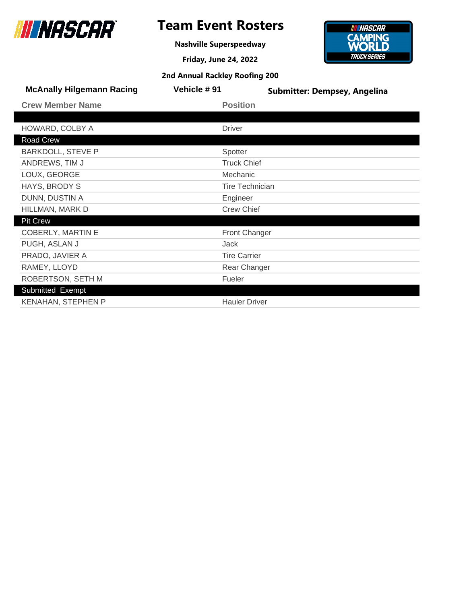

## **Team Event Rosters**

**Nashville Superspeedway**

**Friday, June 24, 2022**



| <b>2nd Annual Rackley Roofing 200</b> |                        |                                     |  |
|---------------------------------------|------------------------|-------------------------------------|--|
| <b>McAnally Hilgemann Racing</b>      | Vehicle # 91           | <b>Submitter: Dempsey, Angelina</b> |  |
| <b>Crew Member Name</b>               | <b>Position</b>        |                                     |  |
|                                       |                        |                                     |  |
| HOWARD, COLBY A                       | <b>Driver</b>          |                                     |  |
| Road Crew                             |                        |                                     |  |
| <b>BARKDOLL, STEVE P</b>              | Spotter                |                                     |  |
| ANDREWS, TIM J                        | <b>Truck Chief</b>     |                                     |  |
| LOUX, GEORGE                          | Mechanic               |                                     |  |
| HAYS, BRODY S                         | <b>Tire Technician</b> |                                     |  |
| DUNN, DUSTIN A                        | Engineer               |                                     |  |
| HILLMAN, MARK D                       | <b>Crew Chief</b>      |                                     |  |
| <b>Pit Crew</b>                       |                        |                                     |  |
| <b>COBERLY, MARTIN E</b>              | <b>Front Changer</b>   |                                     |  |
| PUGH, ASLAN J                         | Jack                   |                                     |  |
| PRADO, JAVIER A                       | <b>Tire Carrier</b>    |                                     |  |
| RAMEY, LLOYD                          | Rear Changer           |                                     |  |
| ROBERTSON, SETH M                     | Fueler                 |                                     |  |
| Submitted Exempt                      |                        |                                     |  |
| <b>KENAHAN, STEPHEN P</b>             | <b>Hauler Driver</b>   |                                     |  |
|                                       |                        |                                     |  |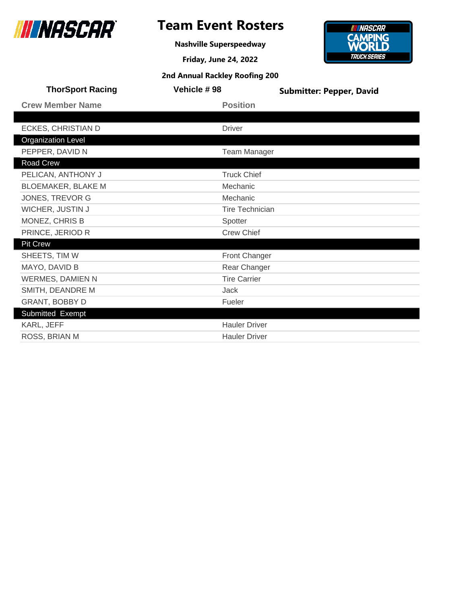

## **Team Event Rosters**

**Nashville Superspeedway**



| <b>ThorSport Racing</b>   | Vehicle #98            | <b>Submitter: Pepper, David</b> |
|---------------------------|------------------------|---------------------------------|
| <b>Crew Member Name</b>   | <b>Position</b>        |                                 |
|                           |                        |                                 |
| ECKES, CHRISTIAN D        | <b>Driver</b>          |                                 |
| <b>Organization Level</b> |                        |                                 |
| PEPPER, DAVID N           | <b>Team Manager</b>    |                                 |
| Road Crew                 |                        |                                 |
| PELICAN, ANTHONY J        | <b>Truck Chief</b>     |                                 |
| <b>BLOEMAKER, BLAKE M</b> | Mechanic               |                                 |
| JONES, TREVOR G           | Mechanic               |                                 |
| WICHER, JUSTIN J          | <b>Tire Technician</b> |                                 |
| MONEZ, CHRIS B            | Spotter                |                                 |
| PRINCE, JERIOD R          | <b>Crew Chief</b>      |                                 |
| <b>Pit Crew</b>           |                        |                                 |
| SHEETS, TIM W             | Front Changer          |                                 |
| MAYO, DAVID B             | Rear Changer           |                                 |
| <b>WERMES, DAMIEN N</b>   | <b>Tire Carrier</b>    |                                 |
| SMITH, DEANDRE M          | Jack                   |                                 |
| GRANT, BOBBY D            | Fueler                 |                                 |
| Submitted Exempt          |                        |                                 |
| KARL, JEFF                | <b>Hauler Driver</b>   |                                 |
| ROSS, BRIAN M             | <b>Hauler Driver</b>   |                                 |